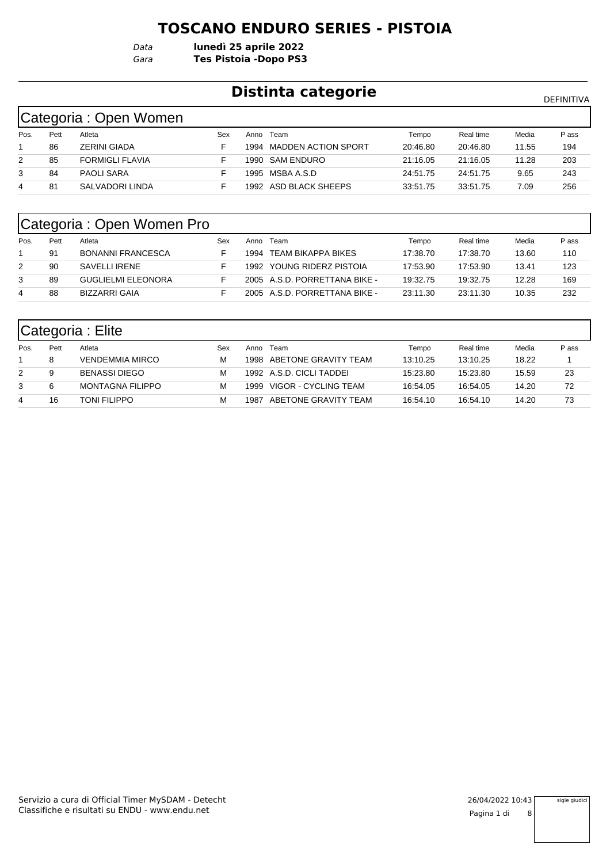### **TOSCANO ENDURO SERIES - PISTOIA**

*Data* **lunedì 25 aprile 2022**

*Gara* **Tes Pistoia -Dopo PS3**

# **Distinta categorie Distinta categorie**

| Categoria: Open Women |
|-----------------------|
|-----------------------|

|      | ັ    |                        |     |      |                       |          |           |       |       |
|------|------|------------------------|-----|------|-----------------------|----------|-----------|-------|-------|
| Pos. | Pett | Atleta                 | Sex | Anno | Team                  | Tempo    | Real time | Media | P ass |
|      | 86   | ZERINI GIADA           |     | 1994 | MADDEN ACTION SPORT   | 20:46.80 | 20:46.80  | 11.55 | 194   |
| 2    | 85   | <b>FORMIGLI FLAVIA</b> |     |      | 1990 SAM ENDURO       | 21:16.05 | 21:16.05  | 11.28 | 203   |
| 3    | 84   | PAOLI SARA             |     | 1995 | MSBA A.S.D            | 24:51.75 | 24:51.75  | 9.65  | 243   |
| 4    | 81   | SALVADORI LINDA        |     |      | 1992 ASD BLACK SHEEPS | 33:51.75 | 33:51.75  | 7.09  | 256   |

# Categoria : Open Women Pro

| Pos. | Pett | Atleta                    | Sex | Anno | Team                          | Tempo    | Real time | Media | P ass |
|------|------|---------------------------|-----|------|-------------------------------|----------|-----------|-------|-------|
|      | 91   | BONANNI FRANCESCA         |     |      | 1994 TEAM BIKAPPA BIKES       | 17:38.70 | 17:38.70  | 13.60 | 110   |
|      | 90   | SAVELLI IRENE             |     |      | 1992 YOUNG RIDERZ PISTOIA     | 17:53.90 | 17:53.90  | 13.41 | 123   |
|      | 89   | <b>GUGLIELMI ELEONORA</b> |     |      | 2005 A.S.D. PORRETTANA BIKE - | 19:32.75 | 19:32.75  | 12.28 | 169   |
| 4    | 88   | BIZZARRI GAIA             |     |      | 2005 A.S.D. PORRETTANA BIKE - | 23:11.30 | 23:11.30  | 10.35 | 232   |

|      | Categoria : Elite |                         |     |      |                           |          |           |       |       |  |  |  |  |
|------|-------------------|-------------------------|-----|------|---------------------------|----------|-----------|-------|-------|--|--|--|--|
| Pos. | Pett              | Atleta                  | Sex | Anno | Team                      | Tempo    | Real time | Media | P ass |  |  |  |  |
|      | 8                 | <b>VENDEMMIA MIRCO</b>  | М   |      | 1998 ABETONE GRAVITY TEAM | 13:10.25 | 13:10.25  | 18.22 |       |  |  |  |  |
| 2    | 9                 | <b>BENASSI DIEGO</b>    | м   |      | 1992 A.S.D. CICLI TADDEI  | 15:23.80 | 15:23.80  | 15.59 | -23   |  |  |  |  |
| 3    | 6                 | <b>MONTAGNA FILIPPO</b> | М   | 1999 | VIGOR - CYCLING TEAM      | 16:54.05 | 16:54.05  | 14.20 | 72    |  |  |  |  |
| 4    | 16                | <b>TONI FILIPPO</b>     | м   | 1987 | ABETONE GRAVITY TEAM      | 16:54.10 | 16:54.10  | 14.20 | 73    |  |  |  |  |

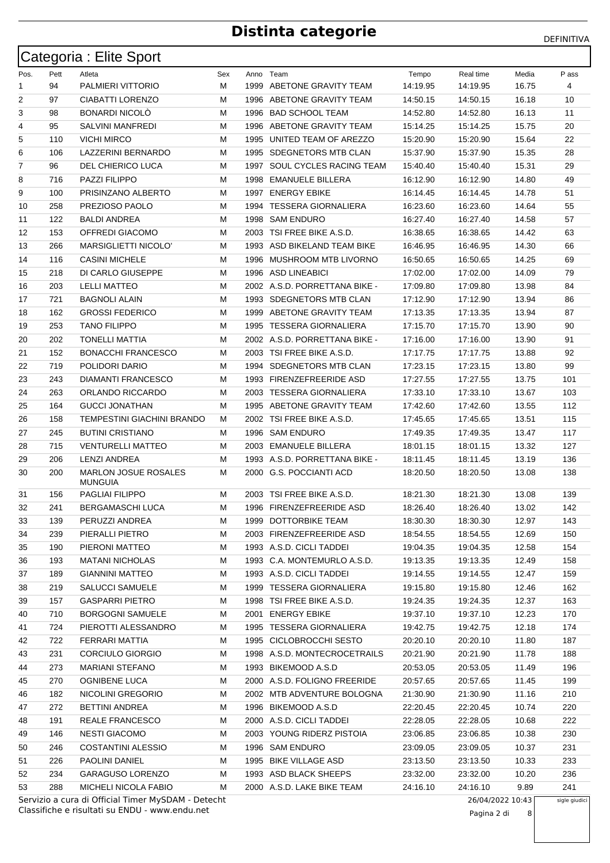|      |      | Categoria : Elite Sport                       |     |      |                               |          |           |       |       |
|------|------|-----------------------------------------------|-----|------|-------------------------------|----------|-----------|-------|-------|
| Pos. | Pett | Atleta                                        | Sex | Anno | Team                          | Tempo    | Real time | Media | P ass |
| 1    | 94   | PALMIERI VITTORIO                             | м   |      | 1999 ABETONE GRAVITY TEAM     | 14:19.95 | 14:19.95  | 16.75 | 4     |
| 2    | 97   | CIABATTI LORENZO                              | м   |      | 1996 ABETONE GRAVITY TEAM     | 14:50.15 | 14:50.15  | 16.18 | 10    |
| 3    | 98   | <b>BONARDI NICOLO</b>                         | м   |      | 1996 BAD SCHOOL TEAM          | 14.52.80 | 14:52.80  | 16.13 | 11    |
| 4    | 95   | SALVINI MANFREDI                              | м   |      | 1996 ABETONE GRAVITY TEAM     | 15:14.25 | 15:14.25  | 15.75 | 20    |
| 5    | 110  | <b>VICHI MIRCO</b>                            | м   |      | 1995 UNITED TEAM OF AREZZO    | 15:20.90 | 15:20.90  | 15.64 | 22    |
| 6    | 106  | LAZZERINI BERNARDO                            | М   |      | 1995 SDEGNETORS MTB CLAN      | 15:37.90 | 15:37.90  | 15.35 | 28    |
| 7    | 96   | DEL CHIERICO LUCA                             | м   |      | 1997 SOUL CYCLES RACING TEAM  | 15:40.40 | 15:40.40  | 15.31 | 29    |
| 8    | 716  | <b>PAZZI FILIPPO</b>                          | м   |      | 1998 EMANUELE BILLERA         | 16:12.90 | 16:12.90  | 14.80 | 49    |
| 9    | 100  | PRISINZANO ALBERTO                            | м   |      | 1997 ENERGY EBIKE             | 16:14.45 | 16:14.45  | 14.78 | 51    |
| 10   | 258  | PREZIOSO PAOLO                                | м   |      | 1994 TESSERA GIORNALIERA      | 16:23.60 | 16:23.60  | 14.64 | 55    |
| 11   | 122  | BALDI ANDREA                                  | м   |      | 1998 SAM ENDURO               | 16:27.40 | 16:27.40  | 14.58 | 57    |
| 12   | 153  | OFFREDI GIACOMO                               | М   |      | 2003 TSI FREE BIKE A.S.D.     | 16:38.65 | 16:38.65  | 14.42 | 63    |
| 13   | 266  | <b>MARSIGLIETTI NICOLO'</b>                   | м   |      | 1993 ASD BIKELAND TEAM BIKE   | 16:46.95 | 16:46.95  | 14.30 | 66    |
| 14   | 116  | <b>CASINI MICHELE</b>                         | м   |      | 1996 MUSHROOM MTB LIVORNO     | 16:50.65 | 16:50.65  | 14.25 | 69    |
| 15   | 218  | DI CARLO GIUSEPPE                             | м   |      | 1996 ASD LINEABICI            | 17:02.00 | 17:02.00  | 14.09 | 79    |
| 16   | 203  | <b>LELLI MATTEO</b>                           | м   |      | 2002 A.S.D. PORRETTANA BIKE - | 17:09.80 | 17:09.80  | 13.98 | 84    |
| 17   | 721  | <b>BAGNOLI ALAIN</b>                          | м   |      | 1993 SDEGNETORS MTB CLAN      | 17:12.90 | 17:12.90  | 13.94 | 86    |
| 18   | 162  | <b>GROSSI FEDERICO</b>                        | М   |      | 1999 ABETONE GRAVITY TEAM     | 17:13.35 | 17:13.35  | 13.94 | 87    |
| 19   | 253  | <b>TANO FILIPPO</b>                           | м   |      | 1995 TESSERA GIORNALIERA      | 17:15.70 | 17:15.70  | 13.90 | 90    |
| 20   | 202  | <b>TONELLI MATTIA</b>                         | м   |      | 2002 A.S.D. PORRETTANA BIKE - | 17:16.00 | 17:16.00  | 13.90 | 91    |
| 21   | 152  | <b>BONACCHI FRANCESCO</b>                     | м   |      | 2003 TSI FREE BIKE A.S.D.     | 17:17.75 | 17:17.75  | 13.88 | 92    |
| 22   | 719  | POLIDORI DARIO                                | м   |      | 1994 SDEGNETORS MTB CLAN      | 17:23.15 | 17:23.15  | 13.80 | 99    |
| 23   | 243  | <b>DIAMANTI FRANCESCO</b>                     | м   |      | 1993 FIRENZEFREERIDE ASD      | 17:27.55 | 17:27.55  | 13.75 | 101   |
| 24   | 263  | ORLANDO RICCARDO                              | М   |      | 2003 TESSERA GIORNALIERA      | 17:33.10 | 17:33.10  | 13.67 | 103   |
| 25   | 164  | <b>GUCCI JONATHAN</b>                         | м   |      | 1995 ABETONE GRAVITY TEAM     | 17:42.60 | 17:42.60  | 13.55 | 112   |
| 26   | 158  | TEMPESTINI GIACHINI BRANDO                    | м   |      | 2002 TSI FREE BIKE A.S.D.     | 17:45.65 | 17:45.65  | 13.51 | 115   |
| 27   | 245  | <b>BUTINI CRISTIANO</b>                       | м   |      | 1996 SAM ENDURO               | 17:49.35 | 17:49.35  | 13.47 | 117   |
| 28   | 715  | VENTURELLI MATTEO                             | м   |      | 2003 EMANUELE BILLERA         | 18:01.15 | 18:01.15  | 13.32 | 127   |
| 29   | 206  | <b>LENZI ANDREA</b>                           | м   |      | 1993 A.S.D. PORRETTANA BIKE - | 18:11.45 | 18:11.45  | 13.19 | 136   |
| 30   | 200  | <b>MARLON JOSUE ROSALES</b><br><b>MUNGUIA</b> | М   |      | 2000 G.S. POCCIANTI ACD       | 18:20.50 | 18:20.50  | 13.08 | 138   |
| 31   | 156  | <b>PAGLIAI FILIPPO</b>                        | м   |      | 2003 TSI FREE BIKE A.S.D.     | 18:21.30 | 18:21.30  | 13.08 | 139   |
| 32   | 241  | BERGAMASCHI LUCA                              | м   |      | 1996 FIRENZEFREERIDE ASD      | 18:26.40 | 18:26.40  | 13.02 | 142   |
| 33   | 139  | PERUZZI ANDREA                                | м   |      | 1999 DOTTORBIKE TEAM          | 18:30.30 | 18:30.30  | 12.97 | 143   |
| 34   | 239  | PIERALLI PIETRO                               | М   |      | 2003 FIRENZEFREERIDE ASD      | 18:54.55 | 18:54.55  | 12.69 | 150   |
| 35   | 190  | PIERONI MATTEO                                | м   |      | 1993 A.S.D. CICLI TADDEI      | 19:04.35 | 19:04.35  | 12.58 | 154   |
| 36   | 193  | <b>MATANI NICHOLAS</b>                        | м   |      | 1993 C.A. MONTEMURLO A.S.D.   | 19:13.35 | 19:13.35  | 12.49 | 158   |
| 37   | 189  | <b>GIANNINI MATTEO</b>                        | м   |      | 1993 A.S.D. CICLI TADDEI      | 19:14.55 | 19:14.55  | 12.47 | 159   |
| 38   | 219  | SALUCCI SAMUELE                               | M   |      | 1999 TESSERA GIORNALIERA      | 19:15.80 | 19:15.80  | 12.46 | 162   |
| 39   | 157  | GASPARRI PIETRO                               | M   |      | 1998 TSI FREE BIKE A.S.D.     | 19:24.35 | 19:24.35  | 12.37 | 163   |
| 40   | 710  | <b>BORGOGNI SAMUELE</b>                       | M   |      | 2001 ENERGY EBIKE             | 19:37.10 | 19:37.10  | 12.23 | 170   |
| 41   | 724  | PIEROTTI ALESSANDRO                           | м   |      | 1995 TESSERA GIORNALIERA      | 19:42.75 | 19:42.75  | 12.18 | 174   |
| 42   | 722  | FERRARI MATTIA                                | м   |      | 1995 CICLOBROCCHI SESTO       | 20:20.10 | 20:20.10  | 11.80 | 187   |
| 43   | 231  | <b>CORCIULO GIORGIO</b>                       | M   |      | 1998 A.S.D. MONTECROCETRAILS  | 20:21.90 | 20:21.90  | 11.78 | 188   |
| 44   | 273  | <b>MARIANI STEFANO</b>                        | м   |      | 1993 BIKEMOOD A.S.D           | 20:53.05 | 20:53.05  | 11.49 | 196   |
| 45   | 270  | <b>OGNIBENE LUCA</b>                          | м   |      | 2000 A.S.D. FOLIGNO FREERIDE  | 20:57.65 | 20:57.65  | 11.45 | 199   |
| 46   | 182  | NICOLINI GREGORIO                             | M   |      | 2002 MTB ADVENTURE BOLOGNA    | 21:30.90 | 21:30.90  | 11.16 | 210   |
| 47   | 272  | <b>BETTINI ANDREA</b>                         | м   |      | 1996 BIKEMOOD A.S.D           | 22:20.45 | 22:20.45  | 10.74 | 220   |
| 48   | 191  | REALE FRANCESCO                               | м   |      | 2000 A.S.D. CICLI TADDEI      | 22:28.05 | 22:28.05  | 10.68 | 222   |
| 49   | 146  | <b>NESTI GIACOMO</b>                          | м   |      | 2003 YOUNG RIDERZ PISTOIA     | 23:06.85 | 23:06.85  | 10.38 | 230   |
| 50   | 246  | <b>COSTANTINI ALESSIO</b>                     | м   |      | 1996 SAM ENDURO               | 23:09.05 | 23:09.05  | 10.37 | 231   |
| 51   | 226  | PAOLINI DANIEL                                | м   |      | 1995 BIKE VILLAGE ASD         | 23:13.50 | 23:13.50  | 10.33 | 233   |
| 52   | 234  | GARAGUSO LORENZO                              | М   |      | 1993 ASD BLACK SHEEPS         | 23:32.00 | 23:32.00  | 10.20 | 236   |
|      | 288  | MICHELI NICOLA FABIO                          | м   |      | 2000 A.S.D. LAKE BIKE TEAM    |          | 24:16.10  | 9.89  | 241   |
| 53   |      |                                               |     |      |                               | 24:16.10 |           |       |       |

Classifiche e risultati su ENDU - www.endu.net Servizio a cura di Official Timer MySDAM - Detecht 26/04/2022 10:43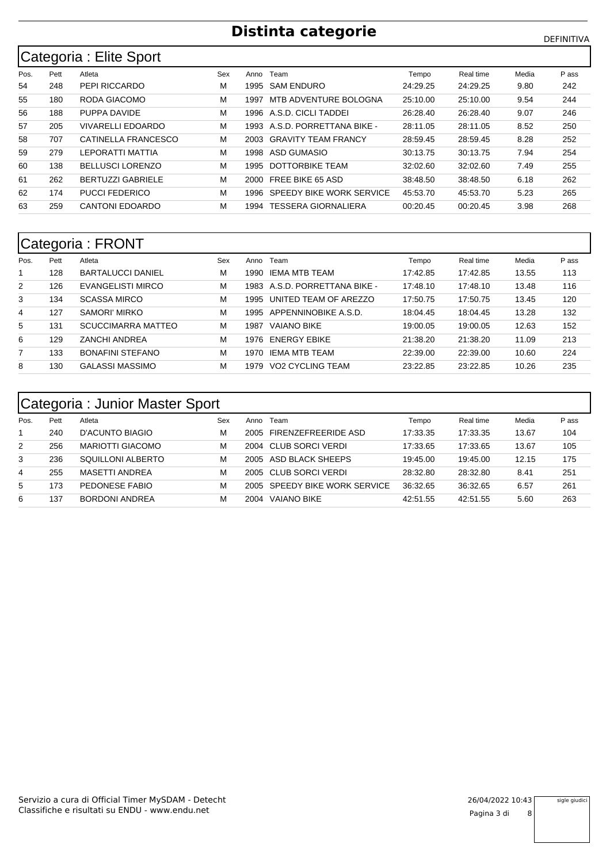# **Distinta categorie Distinta categorie**

#### Pos. Pett Atleta Sex Anno Team Real time Media Categoria : Elite Sport Tempo Real time Media Pass 248 PEPI RICCARDO M 1995 SAM ENDURO 24:29.25 24:29.25 9.80 242 180 RODA GIACOMO M 1997 MTB ADVENTURE BOLOGNA 25:10.00 25:10.00 9.54 244 188 PUPPA DAVIDE M 1996 A.S.D. CICLI TADDEI 26:28.40 26:28.40 9.07 246 205 VIVARELLI EDOARDO M 1993 A.S.D. PORRETTANA BIKE - 28:11.05 28:11.05 8.52 250 707 CATINELLA FRANCESCO M 2003 GRAVITY TEAM FRANCY 28:59.45 28:59.45 8.28 252 279 LEPORATTI MATTIA M 1998 ASD GUMASIO 30:13.75 30:13.75 7.94 254 138 BELLUSCI LORENZO M 1995 DOTTORBIKE TEAM 32:02.60 32:02.60 7.49 255 262 BERTUZZI GABRIELE M 2000 FREE BIKE 65 ASD 38:48.50 38:48.50 6.18 262 174 PUCCI FEDERICO M 1996 SPEEDY BIKE WORK SERVICE 45:53.70 45:53.70 5.23 265 259 CANTONI EDOARDO M 1994 TESSERA GIORNALIERA 00:20.45 00:20.45 3.98 268

#### Categoria : FRONT

|                | ັ    |                          |     |      |                           |          |           |       |       |
|----------------|------|--------------------------|-----|------|---------------------------|----------|-----------|-------|-------|
| Pos.           | Pett | Atleta                   | Sex | Anno | Team                      | Tempo    | Real time | Media | P ass |
|                | 128  | <b>BARTALUCCI DANIEL</b> | M   | 1990 | IEMA MTB TEAM             | 17:42.85 | 17:42.85  | 13.55 | 113   |
| $\overline{2}$ | 126  | EVANGELISTI MIRCO        | M   | 1983 | A.S.D. PORRETTANA BIKE -  | 17:48.10 | 17:48.10  | 13.48 | 116   |
| 3              | 134  | <b>SCASSA MIRCO</b>      | M   | 1995 | UNITED TEAM OF AREZZO     | 17:50.75 | 17:50.75  | 13.45 | 120   |
| 4              | 127  | SAMORI' MIRKO            | M   |      | 1995 APPENNINOBIKE A.S.D. | 18:04.45 | 18:04.45  | 13.28 | 132   |
| 5              | 131  | SCUCCIMARRA MATTEO       | M   | 1987 | <b>VAIANO BIKE</b>        | 19:00.05 | 19:00.05  | 12.63 | 152   |
| 6              | 129  | <b>ZANCHI ANDREA</b>     | M   | 1976 | <b>ENERGY EBIKE</b>       | 21:38.20 | 21:38.20  | 11.09 | 213   |
| 7              | 133  | <b>BONAFINI STEFANO</b>  | M   | 1970 | <b>IEMA MTB TEAM</b>      | 22:39.00 | 22:39.00  | 10.60 | 224   |
| 8              | 130  | <b>GALASSI MASSIMO</b>   | M   | 1979 | VO2 CYCLING TEAM          | 23:22.85 | 23:22.85  | 10.26 | 235   |
|                |      |                          |     |      |                           |          |           |       |       |

## Categoria : Junior Master Sport

| Pos. | Pett | Atleta                | Sex | Anno | Team                          | Tempo    | Real time | Media | P ass |
|------|------|-----------------------|-----|------|-------------------------------|----------|-----------|-------|-------|
|      | 240  | D'ACUNTO BIAGIO       | м   | 2005 | FIRENZEFREERIDE ASD           | 17:33.35 | 17:33.35  | 13.67 | 104   |
| 2    | 256  | MARIOTTI GIACOMO      | м   |      | 2004 CLUB SORCI VERDI         | 17:33.65 | 17:33.65  | 13.67 | 105   |
| 3    | 236  | SQUILLONI ALBERTO     | М   |      | 2005 ASD BLACK SHEEPS         | 19:45.00 | 19:45.00  | 12.15 | 175   |
| 4    | 255  | MASETTI ANDREA        | М   |      | 2005 CLUB SORCI VERDI         | 28:32.80 | 28:32.80  | 8.41  | 251   |
| 5    | 173  | PEDONESE FABIO        | М   |      | 2005 SPEEDY BIKE WORK SERVICE | 36:32.65 | 36:32.65  | 6.57  | 261   |
| 6    | 137  | <b>BORDONI ANDREA</b> | М   | 2004 | VAIANO BIKE                   | 42:51.55 | 42:51.55  | 5.60  | 263   |

sigle giudici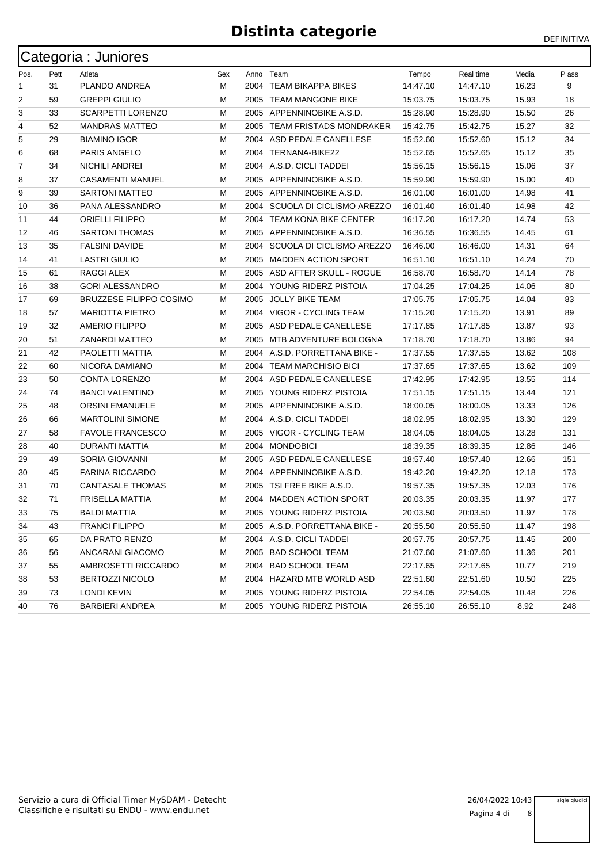|      |      | Categoria : Juniores           |     |      |                                |          |           |       |       |
|------|------|--------------------------------|-----|------|--------------------------------|----------|-----------|-------|-------|
| Pos. | Pett | Atleta                         | Sex |      | Anno Team                      | Tempo    | Real time | Media | P ass |
| 1    | 31   | PLANDO ANDREA                  | М   |      | 2004 TEAM BIKAPPA BIKES        | 14:47.10 | 14:47.10  | 16.23 | 9     |
| 2    | 59   | <b>GREPPI GIULIO</b>           | М   |      | 2005 TEAM MANGONE BIKE         | 15:03.75 | 15:03.75  | 15.93 | 18    |
| 3    | 33   | <b>SCARPETTI LORENZO</b>       | М   |      | 2005 APPENNINOBIKE A.S.D.      | 15:28.90 | 15:28.90  | 15.50 | 26    |
| 4    | 52   | <b>MANDRAS MATTEO</b>          | М   |      | 2005 TEAM FRISTADS MONDRAKER   | 15:42.75 | 15:42.75  | 15.27 | 32    |
| 5    | 29   | <b>BIAMINO IGOR</b>            | М   |      | 2004 ASD PEDALE CANELLESE      | 15:52.60 | 15:52.60  | 15.12 | 34    |
| 6    | 68   | <b>PARIS ANGELO</b>            | М   |      | 2004 TERNANA-BIKE22            | 15:52.65 | 15:52.65  | 15.12 | 35    |
| 7    | 34   | NICHILI ANDREI                 | М   |      | 2004 A.S.D. CICLI TADDEI       | 15:56.15 | 15:56.15  | 15.06 | 37    |
| 8    | 37   | <b>CASAMENTI MANUEL</b>        | М   |      | 2005 APPENNINOBIKE A.S.D.      | 15:59.90 | 15:59.90  | 15.00 | 40    |
| 9    | 39   | <b>SARTONI MATTEO</b>          | М   |      | 2005 APPENNINOBIKE A.S.D.      | 16:01.00 | 16:01.00  | 14.98 | 41    |
| 10   | 36   | PANA ALESSANDRO                | М   |      | 2004 SCUOLA DI CICLISMO AREZZO | 16:01.40 | 16:01.40  | 14.98 | 42    |
| 11   | 44   | <b>ORIELLI FILIPPO</b>         | М   |      | 2004 TEAM KONA BIKE CENTER     | 16:17.20 | 16:17.20  | 14.74 | 53    |
| 12   | 46   | <b>SARTONI THOMAS</b>          | М   |      | 2005 APPENNINOBIKE A.S.D.      | 16:36.55 | 16:36.55  | 14.45 | 61    |
| 13   | 35   | <b>FALSINI DAVIDE</b>          | М   |      | 2004 SCUOLA DI CICLISMO AREZZO | 16:46.00 | 16:46.00  | 14.31 | 64    |
| 14   | 41   | LASTRI GIULIO                  | М   |      | 2005 MADDEN ACTION SPORT       | 16:51.10 | 16:51.10  | 14.24 | 70    |
| 15   | 61   | <b>RAGGI ALEX</b>              | М   |      | 2005 ASD AFTER SKULL - ROGUE   | 16:58.70 | 16:58.70  | 14.14 | 78    |
| 16   | 38   | <b>GORI ALESSANDRO</b>         | М   |      | 2004 YOUNG RIDERZ PISTOIA      | 17:04.25 | 17:04.25  | 14.06 | 80    |
| 17   | 69   | <b>BRUZZESE FILIPPO COSIMO</b> | м   | 2005 | JOLLY BIKE TEAM                | 17:05.75 | 17:05.75  | 14.04 | 83    |
| 18   | 57   | <b>MARIOTTA PIETRO</b>         | М   |      | 2004 VIGOR - CYCLING TEAM      | 17:15.20 | 17:15.20  | 13.91 | 89    |
| 19   | 32   | <b>AMERIO FILIPPO</b>          | М   |      | 2005 ASD PEDALE CANELLESE      | 17:17.85 | 17:17.85  | 13.87 | 93    |
| 20   | 51   | ZANARDI MATTEO                 | М   |      | 2005 MTB ADVENTURE BOLOGNA     | 17:18.70 | 17:18.70  | 13.86 | 94    |
| 21   | 42   | PAOLETTI MATTIA                | М   |      | 2004 A.S.D. PORRETTANA BIKE -  | 17:37.55 | 17:37.55  | 13.62 | 108   |
| 22   | 60   | NICORA DAMIANO                 | М   |      | 2004 TEAM MARCHISIO BICI       | 17:37.65 | 17:37.65  | 13.62 | 109   |
| 23   | 50   | CONTA LORENZO                  | м   |      | 2004 ASD PEDALE CANELLESE      | 17:42.95 | 17:42.95  | 13.55 | 114   |
| 24   | 74   | <b>BANCI VALENTINO</b>         | М   |      | 2005 YOUNG RIDERZ PISTOIA      | 17:51.15 | 17:51.15  | 13.44 | 121   |
| 25   | 48   | <b>ORSINI EMANUELE</b>         | М   |      | 2005 APPENNINOBIKE A.S.D.      | 18:00.05 | 18:00.05  | 13.33 | 126   |
| 26   | 66   | <b>MARTOLINI SIMONE</b>        | М   |      | 2004 A.S.D. CICLI TADDEI       | 18:02.95 | 18:02.95  | 13.30 | 129   |
| 27   | 58   | <b>FAVOLE FRANCESCO</b>        | М   |      | 2005 VIGOR - CYCLING TEAM      | 18:04.05 | 18:04.05  | 13.28 | 131   |
| 28   | 40   | DURANTI MATTIA                 | М   |      | 2004 MONDOBICI                 | 18:39.35 | 18:39.35  | 12.86 | 146   |
| 29   | 49   | <b>SORIA GIOVANNI</b>          | м   |      | 2005 ASD PEDALE CANELLESE      | 18:57.40 | 18:57.40  | 12.66 | 151   |
| 30   | 45   | <b>FARINA RICCARDO</b>         | М   |      | 2004 APPENNINOBIKE A.S.D.      | 19:42.20 | 19:42.20  | 12.18 | 173   |
| 31   | 70   | <b>CANTASALE THOMAS</b>        | м   |      | 2005 TSI FREE BIKE A.S.D.      | 19:57.35 | 19:57.35  | 12.03 | 176   |
| 32   | 71   | <b>FRISELLA MATTIA</b>         | М   |      | 2004 MADDEN ACTION SPORT       | 20:03.35 | 20:03.35  | 11.97 | 177   |
| 33   | 75   | <b>BALDI MATTIA</b>            | M   |      | 2005 YOUNG RIDERZ PISTOIA      | 20:03.50 | 20:03.50  | 11.97 | 178   |
| 34   | 43   | <b>FRANCI FILIPPO</b>          | M   |      | 2005 A.S.D. PORRETTANA BIKE -  | 20:55.50 | 20:55.50  | 11.47 | 198   |
| 35   | 65   | DA PRATO RENZO                 | M   |      | 2004 A.S.D. CICLI TADDEI       | 20:57.75 | 20:57.75  | 11.45 | 200   |
| 36   | 56   | ANCARANI GIACOMO               | M   | 2005 | <b>BAD SCHOOL TEAM</b>         | 21:07.60 | 21:07.60  | 11.36 | 201   |
| 37   | 55   | AMBROSETTI RICCARDO            | M   |      | 2004 BAD SCHOOL TEAM           | 22:17.65 | 22:17.65  | 10.77 | 219   |
| 38   | 53   | <b>BERTOZZI NICOLO</b>         | м   |      | 2004 HAZARD MTB WORLD ASD      | 22:51.60 | 22:51.60  | 10.50 | 225   |
| 39   | 73   | <b>LONDI KEVIN</b>             | M   |      | 2005 YOUNG RIDERZ PISTOIA      | 22:54.05 | 22:54.05  | 10.48 | 226   |
| 40   | 76   | <b>BARBIERI ANDREA</b>         | м   |      | 2005 YOUNG RIDERZ PISTOIA      | 26:55.10 | 26:55.10  | 8.92  | 248   |

sigle giudici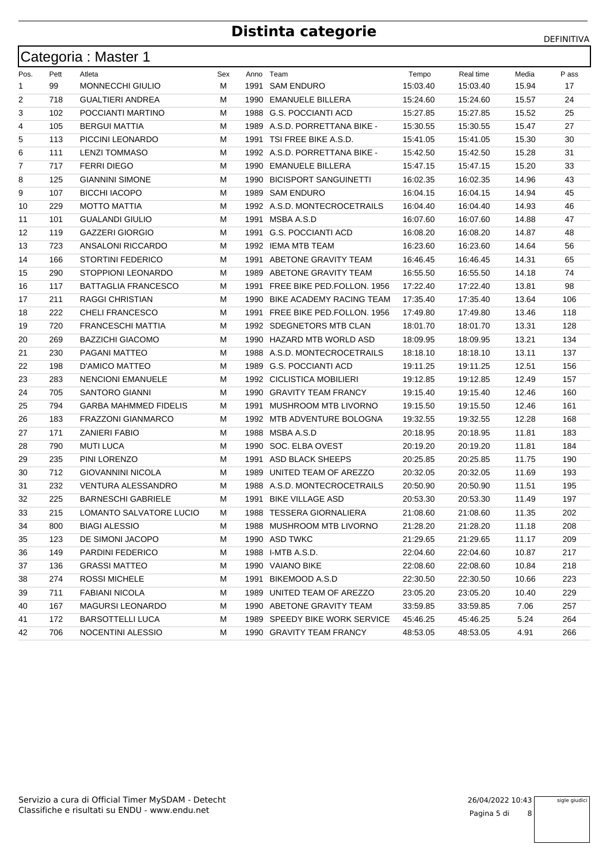|      |      | Categoria : Master 1         |     |      |                                 |          |           |       |       |
|------|------|------------------------------|-----|------|---------------------------------|----------|-----------|-------|-------|
| Pos. | Pett | Atleta                       | Sex |      | Anno Team                       | Tempo    | Real time | Media | P ass |
| 1    | 99   | <b>MONNECCHI GIULIO</b>      | м   |      | 1991 SAM ENDURO                 | 15:03.40 | 15:03.40  | 15.94 | 17    |
| 2    | 718  | <b>GUALTIERI ANDREA</b>      | M   |      | 1990 EMANUELE BILLERA           | 15:24.60 | 15:24.60  | 15.57 | 24    |
| 3    | 102  | POCCIANTI MARTINO            | М   |      | 1988 G.S. POCCIANTI ACD         | 15:27.85 | 15:27.85  | 15.52 | 25    |
| 4    | 105  | <b>BERGUI MATTIA</b>         | М   |      | 1989 A.S.D. PORRETTANA BIKE -   | 15:30.55 | 15:30.55  | 15.47 | 27    |
| 5    | 113  | PICCINI LEONARDO             | М   |      | 1991 TSI FREE BIKE A.S.D.       | 15:41.05 | 15:41.05  | 15.30 | 30    |
| 6    | 111  | <b>LENZI TOMMASO</b>         | М   |      | 1992 A.S.D. PORRETTANA BIKE -   | 15:42.50 | 15:42.50  | 15.28 | 31    |
| 7    | 717  | <b>FERRI DIEGO</b>           | м   |      | 1990 EMANUELE BILLERA           | 15:47.15 | 15:47.15  | 15.20 | 33    |
| 8    | 125  | <b>GIANNINI SIMONE</b>       | M   |      | 1990 BICISPORT SANGUINETTI      | 16:02.35 | 16:02.35  | 14.96 | 43    |
| 9    | 107  | <b>BICCHI IACOPO</b>         | М   |      | 1989 SAM ENDURO                 | 16:04.15 | 16:04.15  | 14.94 | 45    |
| 10   | 229  | <b>MOTTO MATTIA</b>          | М   |      | 1992 A.S.D. MONTECROCETRAILS    | 16:04.40 | 16:04.40  | 14.93 | 46    |
| 11   | 101  | <b>GUALANDI GIULIO</b>       | М   | 1991 | MSBA A.S.D                      | 16:07.60 | 16:07.60  | 14.88 | 47    |
| 12   | 119  | <b>GAZZERI GIORGIO</b>       | М   | 1991 | <b>G.S. POCCIANTI ACD</b>       | 16:08.20 | 16:08.20  | 14.87 | 48    |
| 13   | 723  | ANSALONI RICCARDO            | м   |      | 1992 IEMA MTB TEAM              | 16:23.60 | 16:23.60  | 14.64 | 56    |
| 14   | 166  | <b>STORTINI FEDERICO</b>     | м   |      | 1991 ABETONE GRAVITY TEAM       | 16:46.45 | 16:46.45  | 14.31 | 65    |
| 15   | 290  | STOPPIONI LEONARDO           | M   |      | 1989 ABETONE GRAVITY TEAM       | 16:55.50 | 16:55.50  | 14.18 | 74    |
| 16   | 117  | <b>BATTAGLIA FRANCESCO</b>   | М   |      | 1991 FREE BIKE PED.FOLLON. 1956 | 17:22.40 | 17:22.40  | 13.81 | 98    |
| 17   | 211  | <b>RAGGI CHRISTIAN</b>       | М   | 1990 | BIKE ACADEMY RACING TEAM        | 17:35.40 | 17:35.40  | 13.64 | 106   |
| 18   | 222  | <b>CHELI FRANCESCO</b>       | M   | 1991 | FREE BIKE PED.FOLLON. 1956      | 17:49.80 | 17:49.80  | 13.46 | 118   |
| 19   | 720  | <b>FRANCESCHI MATTIA</b>     | м   |      | 1992 SDEGNETORS MTB CLAN        | 18:01.70 | 18:01.70  | 13.31 | 128   |
| 20   | 269  | <b>BAZZICHI GIACOMO</b>      | M   |      | 1990 HAZARD MTB WORLD ASD       | 18:09.95 | 18:09.95  | 13.21 | 134   |
| 21   | 230  | PAGANI MATTEO                | M   |      | 1988 A.S.D. MONTECROCETRAILS    | 18:18.10 | 18:18.10  | 13.11 | 137   |
| 22   | 198  | D'AMICO MATTEO               | м   |      | 1989 G.S. POCCIANTI ACD         | 19:11.25 | 19:11.25  | 12.51 | 156   |
| 23   | 283  | <b>NENCIONI EMANUELE</b>     | М   |      | 1992 CICLISTICA MOBILIERI       | 19:12.85 | 19:12.85  | 12.49 | 157   |
| 24   | 705  | <b>SANTORO GIANNI</b>        | М   | 1990 | <b>GRAVITY TEAM FRANCY</b>      | 19:15.40 | 19:15.40  | 12.46 | 160   |
| 25   | 794  | <b>GARBA MAHMMED FIDELIS</b> | М   | 1991 | MUSHROOM MTB LIVORNO            | 19:15.50 | 19:15.50  | 12.46 | 161   |
| 26   | 183  | <b>FRAZZONI GIANMARCO</b>    | м   |      | 1992 MTB ADVENTURE BOLOGNA      | 19:32.55 | 19:32.55  | 12.28 | 168   |
| 27   | 171  | <b>ZANIERI FABIO</b>         | M   |      | 1988 MSBA A.S.D                 | 20:18.95 | 20:18.95  | 11.81 | 183   |
| 28   | 790  | <b>MUTI LUCA</b>             | М   |      | 1990 SOC. ELBA OVEST            | 20:19.20 | 20:19.20  | 11.81 | 184   |
| 29   | 235  | PINI LORENZO                 | М   | 1991 | ASD BLACK SHEEPS                | 20:25.85 | 20:25.85  | 11.75 | 190   |
| 30   | 712  | <b>GIOVANNINI NICOLA</b>     | М   | 1989 | UNITED TEAM OF AREZZO           | 20:32.05 | 20:32.05  | 11.69 | 193   |
| 31   | 232  | <b>VENTURA ALESSANDRO</b>    | м   |      | 1988 A.S.D. MONTECROCETRAILS    | 20:50.90 | 20:50.90  | 11.51 | 195   |
| 32   | 225  | <b>BARNESCHI GABRIELE</b>    | м   |      | 1991 BIKE VILLAGE ASD           | 20:53.30 | 20:53.30  | 11.49 | 197   |
| 33   | 215  | LOMANTO SALVATORE LUCIO      | M   |      | 1988 TESSERA GIORNALIERA        | 21:08.60 | 21:08.60  | 11.35 | 202   |
| 34   | 800  | <b>BIAGI ALESSIO</b>         | М   |      | 1988 MUSHROOM MTB LIVORNO       | 21:28.20 | 21:28.20  | 11.18 | 208   |
| 35   | 123  | DE SIMONI JACOPO             | М   |      | 1990 ASD TWKC                   | 21:29.65 | 21:29.65  | 11.17 | 209   |
| 36   | 149  | PARDINI FEDERICO             | М   |      | 1988 I-MTB A.S.D.               | 22:04.60 | 22:04.60  | 10.87 | 217   |
| 37   | 136  | <b>GRASSI MATTEO</b>         | М   |      | 1990 VAIANO BIKE                | 22:08.60 | 22:08.60  | 10.84 | 218   |
| 38   | 274  | <b>ROSSI MICHELE</b>         | M   |      | 1991 BIKEMOOD A.S.D             | 22:30.50 | 22:30.50  | 10.66 | 223   |
| 39   | 711  | <b>FABIANI NICOLA</b>        | M   |      | 1989 UNITED TEAM OF AREZZO      | 23:05.20 | 23:05.20  | 10.40 | 229   |
| 40   | 167  | <b>MAGURSI LEONARDO</b>      | М   |      | 1990 ABETONE GRAVITY TEAM       | 33:59.85 | 33:59.85  | 7.06  | 257   |
| 41   | 172  | <b>BARSOTTELLI LUCA</b>      | М   |      | 1989 SPEEDY BIKE WORK SERVICE   | 45:46.25 | 45:46.25  | 5.24  | 264   |
| 42   | 706  | NOCENTINI ALESSIO            | М   |      | 1990 GRAVITY TEAM FRANCY        | 48:53.05 | 48:53.05  | 4.91  | 266   |

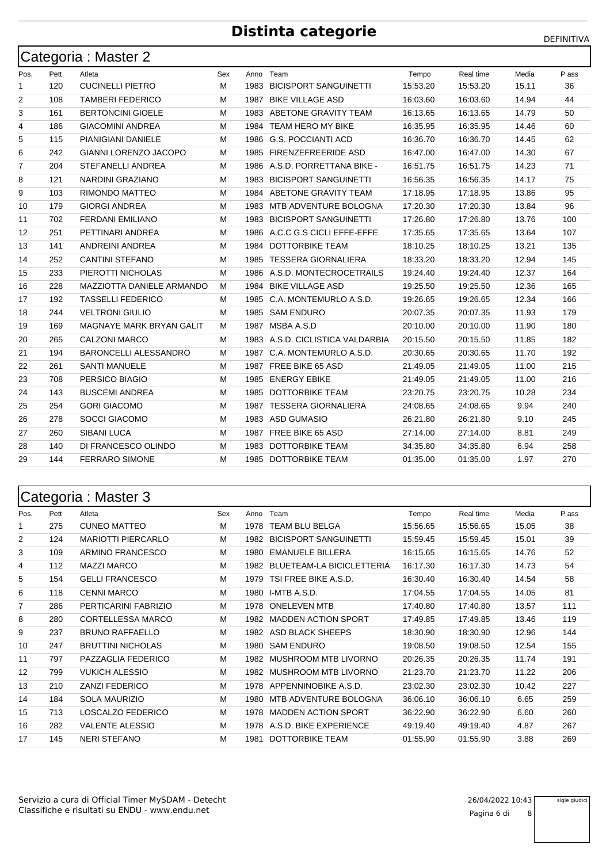|             |      | Categoria : Master 2         |     |      |                                  |          |           |       |       |
|-------------|------|------------------------------|-----|------|----------------------------------|----------|-----------|-------|-------|
| Pos.        | Pett | Atleta                       | Sex | Anno | Team                             | Tempo    | Real time | Media | P ass |
| $\mathbf 1$ | 120  | <b>CUCINELLI PIETRO</b>      | м   | 1983 | <b>BICISPORT SANGUINETTI</b>     | 15:53.20 | 15:53.20  | 15.11 | 36    |
| 2           | 108  | <b>TAMBERI FEDERICO</b>      | M   | 1987 | <b>BIKE VILLAGE ASD</b>          | 16:03.60 | 16:03.60  | 14.94 | 44    |
| 3           | 161  | <b>BERTONCINI GIOELE</b>     | м   |      | 1983 ABETONE GRAVITY TEAM        | 16:13.65 | 16:13.65  | 14.79 | 50    |
| 4           | 186  | <b>GIACOMINI ANDREA</b>      | м   |      | 1984 TEAM HERO MY BIKE           | 16:35.95 | 16:35.95  | 14.46 | 60    |
| 5           | 115  | PIANIGIANI DANIELE           | M   | 1986 | <b>G.S. POCCIANTI ACD</b>        | 16:36.70 | 16:36.70  | 14.45 | 62    |
| 6           | 242  | <b>GIANNI LORENZO JACOPO</b> | M   |      | 1985 FIRENZEFREERIDE ASD         | 16:47.00 | 16:47.00  | 14.30 | 67    |
| 7           | 204  | <b>STEFANELLI ANDREA</b>     | M   |      | 1986 A.S.D. PORRETTANA BIKE -    | 16:51.75 | 16:51.75  | 14.23 | 71    |
| 8           | 121  | NARDINI GRAZIANO             | M   | 1983 | <b>BICISPORT SANGUINETTI</b>     | 16:56.35 | 16:56.35  | 14.17 | 75    |
| 9           | 103  | RIMONDO MATTEO               | M   |      | 1984 ABETONE GRAVITY TEAM        | 17:18.95 | 17:18.95  | 13.86 | 95    |
| 10          | 179  | <b>GIORGI ANDREA</b>         | M   | 1983 | MTB ADVENTURE BOLOGNA            | 17:20.30 | 17:20.30  | 13.84 | 96    |
| 11          | 702  | <b>FERDANI EMILIANO</b>      | M   | 1983 | <b>BICISPORT SANGUINETTI</b>     | 17:26.80 | 17:26.80  | 13.76 | 100   |
| 12          | 251  | PETTINARI ANDREA             | M   | 1986 | A.C.C G.S CICLI EFFE-EFFE        | 17:35.65 | 17:35.65  | 13.64 | 107   |
| 13          | 141  | <b>ANDREINI ANDREA</b>       | M   | 1984 | <b>DOTTORBIKE TEAM</b>           | 18:10.25 | 18:10.25  | 13.21 | 135   |
| 14          | 252  | CANTINI STEFANO              | M   | 1985 | <b>TESSERA GIORNALIERA</b>       | 18:33.20 | 18:33.20  | 12.94 | 145   |
| 15          | 233  | PIEROTTI NICHOLAS            | M   |      | 1986 A.S.D. MONTECROCETRAILS     | 19:24.40 | 19:24.40  | 12.37 | 164   |
| 16          | 228  | MAZZIOTTA DANIELE ARMANDO    | м   |      | 1984 BIKE VILLAGE ASD            | 19:25.50 | 19:25.50  | 12.36 | 165   |
| 17          | 192  | <b>TASSELLI FEDERICO</b>     | м   | 1985 | C.A. MONTEMURLO A.S.D.           | 19:26.65 | 19:26.65  | 12.34 | 166   |
| 18          | 244  | <b>VELTRONI GIULIO</b>       | M   | 1985 | <b>SAM ENDURO</b>                | 20:07.35 | 20:07.35  | 11.93 | 179   |
| 19          | 169  | MAGNAYE MARK BRYAN GALIT     | м   |      | 1987 MSBA A.S.D                  | 20:10.00 | 20:10.00  | 11.90 | 180   |
| 20          | 265  | <b>CALZONI MARCO</b>         | M   |      | 1983 A.S.D. CICLISTICA VALDARBIA | 20:15.50 | 20:15.50  | 11.85 | 182   |
| 21          | 194  | <b>BARONCELLI ALESSANDRO</b> | м   | 1987 | C.A. MONTEMURLO A.S.D.           | 20:30.65 | 20:30.65  | 11.70 | 192   |
| 22          | 261  | <b>SANTI MANUELE</b>         | M   |      | 1987 FREE BIKE 65 ASD            | 21:49.05 | 21:49.05  | 11.00 | 215   |
| 23          | 708  | PERSICO BIAGIO               | M   | 1985 | <b>ENERGY EBIKE</b>              | 21:49.05 | 21:49.05  | 11.00 | 216   |
| 24          | 143  | <b>BUSCEMI ANDREA</b>        | M   |      | 1985 DOTTORBIKE TEAM             | 23:20.75 | 23:20.75  | 10.28 | 234   |
| 25          | 254  | <b>GORI GIACOMO</b>          | м   | 1987 | <b>TESSERA GIORNALIERA</b>       | 24:08.65 | 24:08.65  | 9.94  | 240   |
| 26          | 278  | SOCCI GIACOMO                | M   | 1983 | <b>ASD GUMASIO</b>               | 26:21.80 | 26:21.80  | 9.10  | 245   |
| 27          | 260  | <b>SIBANI LUCA</b>           | M   |      | 1987 FREE BIKE 65 ASD            | 27:14.00 | 27:14.00  | 8.81  | 249   |
| 28          | 140  | DI FRANCESCO OLINDO          | M   | 1983 | <b>DOTTORBIKE TEAM</b>           | 34:35.80 | 34:35.80  | 6.94  | 258   |
| 29          | 144  | <b>FERRARO SIMONE</b>        | М   |      | 1985 DOTTORBIKE TEAM             | 01:35.00 | 01:35.00  | 1.97  | 270   |
|             |      |                              |     |      |                                  |          |           |       |       |

|                |      | $\frac{1}{2}$             |     |      |                              |          |           |       |       |
|----------------|------|---------------------------|-----|------|------------------------------|----------|-----------|-------|-------|
| Pos.           | Pett | Atleta                    | Sex | Anno | Team                         | Tempo    | Real time | Media | P ass |
| 1              | 275  | <b>CUNEO MATTEO</b>       | м   | 1978 | TEAM BLU BELGA               | 15:56.65 | 15:56.65  | 15.05 | 38    |
| $\overline{2}$ | 124  | <b>MARIOTTI PIERCARLO</b> | м   | 1982 | <b>BICISPORT SANGUINETTI</b> | 15:59.45 | 15:59.45  | 15.01 | 39    |
| 3              | 109  | ARMINO FRANCESCO          | м   | 1980 | <b>EMANUELE BILLERA</b>      | 16:15.65 | 16:15.65  | 14.76 | 52    |
| 4              | 112  | <b>MAZZI MARCO</b>        | M   | 1982 | BLUETEAM-LA BICICLETTERIA    | 16:17.30 | 16:17.30  | 14.73 | 54    |
| 5              | 154  | <b>GELLI FRANCESCO</b>    | M   | 1979 | TSI FREE BIKE A.S.D.         | 16:30.40 | 16:30.40  | 14.54 | 58    |
| 6              | 118  | <b>CENNI MARCO</b>        | M   | 1980 | I-MTB A.S.D.                 | 17:04.55 | 17:04.55  | 14.05 | 81    |
| 7              | 286  | PERTICARINI FABRIZIO      | м   | 1978 | <b>ONELEVEN MTB</b>          | 17:40.80 | 17:40.80  | 13.57 | 111   |
| 8              | 280  | CORTELLESSA MARCO         | м   | 1982 | <b>MADDEN ACTION SPORT</b>   | 17:49.85 | 17:49.85  | 13.46 | 119   |
| 9              | 237  | <b>BRUNO RAFFAELLO</b>    | M   |      | 1982 ASD BLACK SHEEPS        | 18:30.90 | 18:30.90  | 12.96 | 144   |
| 10             | 247  | <b>BRUTTINI NICHOLAS</b>  | M   | 1980 | <b>SAM ENDURO</b>            | 19:08.50 | 19:08.50  | 12.54 | 155   |
| 11             | 797  | PAZZAGLIA FEDERICO        | M   | 1982 | MUSHROOM MTB LIVORNO         | 20:26.35 | 20:26.35  | 11.74 | 191   |
| 12             | 799  | <b>VUKICH ALESSIO</b>     | M   |      | 1982 MUSHROOM MTB LIVORNO    | 21:23.70 | 21:23.70  | 11.22 | 206   |
| 13             | 210  | <b>ZANZI FEDERICO</b>     | M   |      | 1978 APPENNINOBIKE A.S.D.    | 23:02.30 | 23:02.30  | 10.42 | 227   |
| 14             | 184  | SOLA MAURIZIO             | M   | 1980 | MTB ADVENTURE BOLOGNA        | 36:06.10 | 36:06.10  | 6.65  | 259   |
| 15             | 713  | LOSCALZO FEDERICO         | M   |      | 1978 MADDEN ACTION SPORT     | 36:22.90 | 36:22.90  | 6.60  | 260   |
| 16             | 282  | <b>VALENTE ALESSIO</b>    | M   |      | 1978 A.S.D. BIKE EXPERIENCE  | 49:19.40 | 49:19.40  | 4.87  | 267   |
| 17             | 145  | <b>NERI STEFANO</b>       | M   | 1981 | DOTTORBIKE TEAM              | 01:55.90 | 01:55.90  | 3.88  | 269   |
|                |      |                           |     |      |                              |          |           |       |       |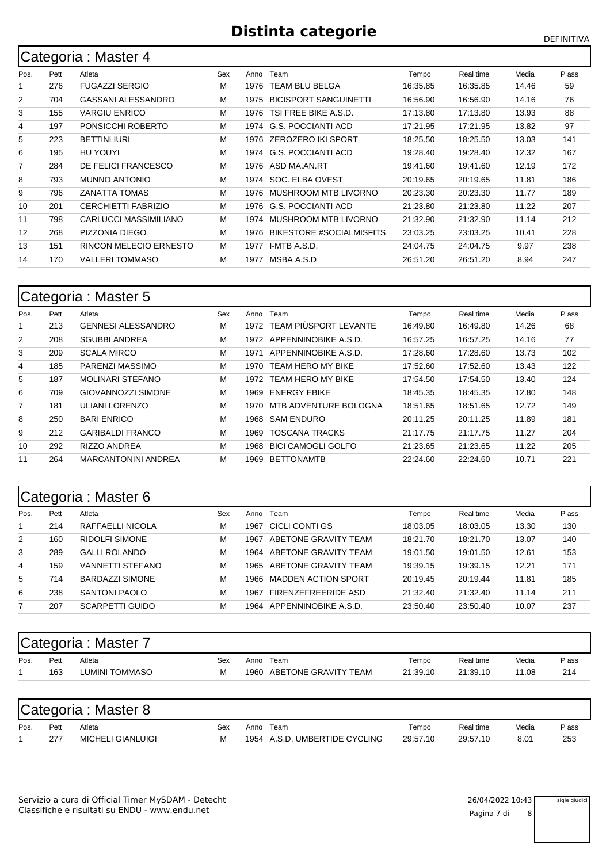|      | Categoria : Master 4 |                        |     |      |                              |          |           |       |       |  |  |  |
|------|----------------------|------------------------|-----|------|------------------------------|----------|-----------|-------|-------|--|--|--|
| Pos. | Pett                 | Atleta                 | Sex | Anno | Team                         | Tempo    | Real time | Media | P ass |  |  |  |
|      | 276                  | <b>FUGAZZI SERGIO</b>  | м   | 1976 | <b>TEAM BLU BELGA</b>        | 16:35.85 | 16:35.85  | 14.46 | 59    |  |  |  |
| 2    | 704                  | GASSANI ALESSANDRO     | M   | 1975 | <b>BICISPORT SANGUINETTI</b> | 16:56.90 | 16:56.90  | 14.16 | 76    |  |  |  |
| 3    | 155                  | <b>VARGIU ENRICO</b>   | M   | 1976 | TSI FREE BIKE A.S.D.         | 17:13.80 | 17:13.80  | 13.93 | 88    |  |  |  |
| 4    | 197                  | PONSICCHI ROBERTO      | м   | 1974 | <b>G.S. POCCIANTI ACD</b>    | 17:21.95 | 17:21.95  | 13.82 | 97    |  |  |  |
| 5    | 223                  | <b>BETTINI IURI</b>    | M   | 1976 | <b>ZEROZERO IKI SPORT</b>    | 18:25.50 | 18:25.50  | 13.03 | 141   |  |  |  |
| 6    | 195                  | HU YOUYI               | М   | 1974 | G.S. POCCIANTI ACD           | 19:28.40 | 19:28.40  | 12.32 | 167   |  |  |  |
| 7    | 284                  | DE FELICI FRANCESCO    | м   | 1976 | ASD MA.AN.RT                 | 19:41.60 | 19:41.60  | 12.19 | 172   |  |  |  |
| 8    | 793                  | <b>MUNNO ANTONIO</b>   | м   | 1974 | SOC. ELBA OVEST              | 20:19.65 | 20:19.65  | 11.81 | 186   |  |  |  |
| 9    | 796                  | <b>ZANATTA TOMAS</b>   | M   | 1976 | <b>MUSHROOM MTB LIVORNO</b>  | 20:23.30 | 20:23.30  | 11.77 | 189   |  |  |  |
| 10   | 201                  | CERCHIETTI FABRIZIO    | M   |      | 1976 G.S. POCCIANTI ACD      | 21:23.80 | 21:23.80  | 11.22 | 207   |  |  |  |
| 11   | 798                  | CARLUCCI MASSIMILIANO  | M   | 1974 | MUSHROOM MTB LIVORNO         | 21:32.90 | 21:32.90  | 11.14 | 212   |  |  |  |
| 12   | 268                  | PIZZONIA DIEGO         | м   | 1976 | BIKESTORE #SOCIALMISFITS     | 23:03.25 | 23:03.25  | 10.41 | 228   |  |  |  |
| 13   | 151                  | RINCON MELECIO ERNESTO | м   | 1977 | I-MTB A.S.D.                 | 24:04.75 | 24:04.75  | 9.97  | 238   |  |  |  |
| 14   | 170                  | <b>VALLERI TOMMASO</b> | М   | 1977 | MSBA A.S.D                   | 26:51.20 | 26:51.20  | 8.94  | 247   |  |  |  |

|      | Categoria : Master 5 |                            |     |      |                           |          |           |       |       |  |  |  |
|------|----------------------|----------------------------|-----|------|---------------------------|----------|-----------|-------|-------|--|--|--|
| Pos. | Pett                 | Atleta                     | Sex | Anno | Team                      | Tempo    | Real time | Media | P ass |  |  |  |
|      | 213                  | <b>GENNESI ALESSANDRO</b>  | М   | 1972 | TEAM PIÙSPORT LEVANTE     | 16:49.80 | 16:49.80  | 14.26 | 68    |  |  |  |
| 2    | 208                  | <b>SGUBBI ANDREA</b>       | м   | 1972 | APPENNINOBIKE A.S.D.      | 16:57.25 | 16:57.25  | 14.16 | 77    |  |  |  |
| 3    | 209                  | <b>SCALA MIRCO</b>         | M   | 1971 | APPENNINOBIKE A.S.D.      | 17:28.60 | 17:28.60  | 13.73 | 102   |  |  |  |
| 4    | 185                  | PARENZI MASSIMO            | м   | 1970 | <b>TEAM HERO MY BIKE</b>  | 17:52.60 | 17:52.60  | 13.43 | 122   |  |  |  |
| 5    | 187                  | <b>MOLINARI STEFANO</b>    | M   | 1972 | <b>TEAM HERO MY BIKE</b>  | 17:54.50 | 17:54.50  | 13.40 | 124   |  |  |  |
| 6    | 709                  | GIOVANNOZZI SIMONE         | м   | 1969 | <b>ENERGY EBIKE</b>       | 18:45.35 | 18:45.35  | 12.80 | 148   |  |  |  |
| 7    | 181                  | <b>ULIANI LORENZO</b>      | м   | 1970 | MTB ADVENTURE BOLOGNA     | 18:51.65 | 18:51.65  | 12.72 | 149   |  |  |  |
| 8    | 250                  | <b>BARI ENRICO</b>         | м   | 1968 | <b>SAM ENDURO</b>         | 20:11.25 | 20:11.25  | 11.89 | 181   |  |  |  |
| 9    | 212                  | <b>GARIBALDI FRANCO</b>    | м   | 1969 | <b>TOSCANA TRACKS</b>     | 21:17.75 | 21:17.75  | 11.27 | 204   |  |  |  |
| 10   | 292                  | <b>RIZZO ANDREA</b>        | м   | 1968 | <b>BICI CAMOGLI GOLFO</b> | 21:23.65 | 21:23.65  | 11.22 | 205   |  |  |  |
| 11   | 264                  | <b>MARCANTONINI ANDREA</b> | М   | 1969 | <b>BETTONAMTB</b>         | 22:24.60 | 22:24.60  | 10.71 | 221   |  |  |  |
|      |                      |                            |     |      |                           |          |           |       |       |  |  |  |

|             | Categoria : Master 6 |                         |     |      |                      |          |           |       |       |  |  |  |
|-------------|----------------------|-------------------------|-----|------|----------------------|----------|-----------|-------|-------|--|--|--|
| Pos.        | Pett                 | Atleta                  | Sex | Anno | Team                 | Tempo    | Real time | Media | P ass |  |  |  |
| $\mathbf 1$ | 214                  | RAFFAELLI NICOLA        | м   | 1967 | CICLI CONTI GS       | 18:03.05 | 18:03.05  | 13.30 | 130   |  |  |  |
| 2           | 160                  | RIDOLFI SIMONE          | М   | 1967 | ABETONE GRAVITY TEAM | 18:21.70 | 18:21.70  | 13.07 | 140   |  |  |  |
| 3           | 289                  | <b>GALLI ROLANDO</b>    | М   | 1964 | ABETONE GRAVITY TEAM | 19:01.50 | 19:01.50  | 12.61 | 153   |  |  |  |
| 4           | 159                  | <b>VANNETTI STEFANO</b> | М   | 1965 | ABETONE GRAVITY TEAM | 19:39.15 | 19:39.15  | 12.21 | 171   |  |  |  |
| 5           | 714                  | BARDAZZI SIMONE         | м   | 1966 | MADDEN ACTION SPORT  | 20:19.45 | 20:19.44  | 11.81 | 185   |  |  |  |
| 6           | 238                  | SANTONI PAOLO           | М   | 1967 | FIRENZEERFERIDE ASD  | 21:32.40 | 21:32.40  | 11.14 | 211   |  |  |  |
|             | 207                  | <b>SCARPETTI GUIDO</b>  | M   | 1964 | APPENNINOBIKE A.S.D. | 23:50.40 | 23:50.40  | 10.07 | 237   |  |  |  |

| Categoria : Master 7 |      |                |     |                           |          |           |       |       |  |  |  |
|----------------------|------|----------------|-----|---------------------------|----------|-----------|-------|-------|--|--|--|
| Pos.                 | Pett | Atleta         | Sex | Team<br>Anno              | Tempo    | Real time | Media | P ass |  |  |  |
|                      | 163  | LUMINI TOMMASO |     | 1960 ABETONE GRAVITY TEAM | 21:39.10 | 21:39.10  | 11.08 | 214   |  |  |  |

| Categoria : Master 8 |      |                          |     |  |                               |          |           |       |       |  |  |
|----------------------|------|--------------------------|-----|--|-------------------------------|----------|-----------|-------|-------|--|--|
| Pos.                 | Pett | Atleta                   | Sex |  | Anno Team                     | Tempo    | Real time | Media | P ass |  |  |
|                      | 277  | <b>MICHELI GIANLUIGI</b> | м   |  | 1954 A.S.D. UMBERTIDE CYCLING | 29:57.10 | 29:57.10  | 8.01  | 253   |  |  |